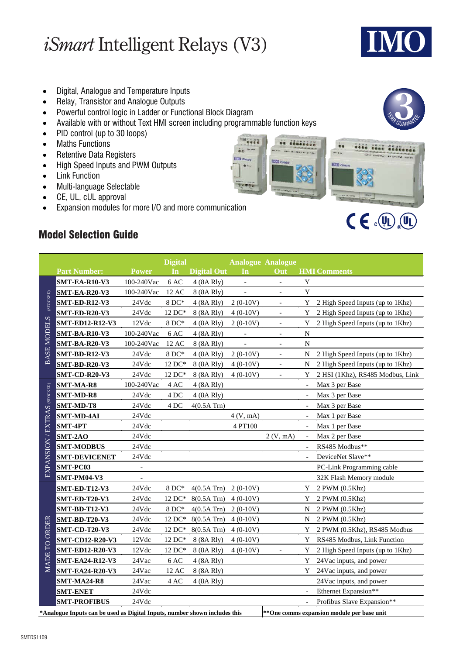# *iSmart* Intelligent Relays (V3)

SMTDS1109

- Digital, Analogue and Temperature Inputs
- Relay, Transistor and Analogue Outputs
- Powerful control logic in Ladder or Functional Block Diagram
- Available with or without Text HMI screen including programmable function keys

**Execute** 

**Green as** 

ce consistiv

 $\ddot{\bullet}$ 

ivin a

- PID control (up to 30 loops)
- Maths Functions
- Retentive Data Registers
- High Speed Inputs and PWM Outputs
- Link Function
- Multi-language Selectable
- CE, UL, cUL approval
- Expansion modules for more I/O and more communication

#### Model Selection Guide

|                                                                                                                           |                        |                          | <b>Digital</b>      |                    |                          | <b>Analogue Analogue</b> |                          |                                  |
|---------------------------------------------------------------------------------------------------------------------------|------------------------|--------------------------|---------------------|--------------------|--------------------------|--------------------------|--------------------------|----------------------------------|
|                                                                                                                           | <b>Part Number:</b>    | <b>Power</b>             | In                  | <b>Digital Out</b> | In                       | Out                      |                          | <b>HMI</b> Comments              |
| (STOCKED)<br><b>BASE MODELS</b>                                                                                           | <b>SMT-EA-R10-V3</b>   | 100-240Vac               | 6 AC                | 4 (8A Rly)         | $\Box$                   | $\Box$                   | Y                        |                                  |
|                                                                                                                           | SMT-EA-R20-V3          | 100-240Vac               | 12 AC               | 8 (8A Rly)         | $\overline{\phantom{a}}$ | $\blacksquare$           | $\mathbf Y$              |                                  |
|                                                                                                                           | <b>SMT-ED-R12-V3</b>   | 24Vdc                    | $8DC*$              | 4 (8A Rly)         | $2(0-10V)$               | $\overline{\phantom{a}}$ | Y                        | 2 High Speed Inputs (up to 1Khz) |
|                                                                                                                           | <b>SMT-ED-R20-V3</b>   | 24Vdc                    | 12 DC*              | 8 (8A Rly)         | $4(0-10V)$               | $\overline{\phantom{a}}$ | Y                        | 2 High Speed Inputs (up to 1Khz) |
|                                                                                                                           | <b>SMT-ED12-R12-V3</b> | 12Vdc                    | $8DC*$              | 4 (8A Rly)         | $2(0-10V)$               | $\overline{\phantom{a}}$ | Y                        | 2 High Speed Inputs (up to 1Khz) |
|                                                                                                                           | SMT-BA-R10-V3          | 100-240Vac               | 6 AC                | 4 (8A Rly)         | $\overline{\phantom{a}}$ | $\overline{\phantom{a}}$ | N                        |                                  |
|                                                                                                                           | <b>SMT-BA-R20-V3</b>   | 100-240Vac               | 12 AC               | 8 (8A Rly)         | $\blacksquare$           | $\overline{\phantom{a}}$ | ${\bf N}$                |                                  |
|                                                                                                                           | <b>SMT-BD-R12-V3</b>   | 24Vdc                    | $8DC*$              | 4 (8A Rly)         | $2(0-10V)$               | $\overline{\phantom{a}}$ | N                        | 2 High Speed Inputs (up to 1Khz) |
|                                                                                                                           | <b>SMT-BD-R20-V3</b>   | 24Vdc                    | 12 DC*              | 8 (8A Rly)         | $4(0-10V)$               | $\equiv$                 | N                        | 2 High Speed Inputs (up to 1Khz) |
|                                                                                                                           | <b>SMT-CD-R20-V3</b>   | 24Vdc                    | 12 DC*              | 8 (8A Rly)         | $4(0-10V)$               |                          | Y                        | 2 HSI (1Khz), RS485 Modbus, Link |
|                                                                                                                           | <b>SMT-MA-R8</b>       | 100-240Vac               | $4\,\mathrm{AC}$    | 4 (8A Rly)         |                          |                          |                          | Max 3 per Base                   |
|                                                                                                                           | <b>SMT-MD-R8</b>       | 24Vdc                    | 4DC                 | 4 (8A Rly)         |                          |                          |                          | Max 3 per Base                   |
|                                                                                                                           | SMT-MD-T8              | 24Vdc                    | 4 DC                | $4(0.5A$ Trn $)$   |                          |                          |                          | Max 3 per Base                   |
|                                                                                                                           | <b>SMT-MD-4AI</b>      | 24Vdc                    |                     |                    | 4 (V, mA)                |                          |                          | Max 1 per Base                   |
| EXPANSION / EXTRAS (STOCKED)                                                                                              | <b>SMT-4PT</b>         | 24Vdc                    |                     |                    | 4 PT100                  |                          | $\overline{\phantom{a}}$ | Max 1 per Base                   |
|                                                                                                                           | <b>SMT-2AO</b>         | 24Vdc                    |                     |                    |                          | 2 (V, mA)                | $\sim$                   | Max 2 per Base                   |
|                                                                                                                           | <b>SMT-MODBUS</b>      | 24Vdc                    |                     |                    |                          |                          |                          | RS485 Modbus**                   |
|                                                                                                                           | <b>SMT-DEVICENET</b>   | 24Vdc                    |                     |                    |                          |                          |                          | DeviceNet Slave**                |
|                                                                                                                           | <b>SMT-PC03</b>        |                          |                     |                    |                          |                          |                          | PC-Link Programming cable        |
|                                                                                                                           | <b>SMT-PM04-V3</b>     | $\overline{\phantom{a}}$ |                     |                    |                          |                          |                          | 32K Flash Memory module          |
|                                                                                                                           | <b>SMT-ED-T12-V3</b>   | 24Vdc                    | $8DC*$              | $4(0.5A$ Trn $)$   | $2(0-10V)$               |                          | Y                        | 2 PWM (0.5Khz)                   |
|                                                                                                                           | <b>SMT-ED-T20-V3</b>   | 24Vdc                    | $12\,\mathrm{DC}^*$ | $8(0.5A$ Trn $)$   | $4(0-10V)$               |                          | Y                        | 2 PWM (0.5Khz)                   |
|                                                                                                                           | <b>SMT-BD-T12-V3</b>   | 24Vdc                    | $8DC*$              | $4(0.5A$ Trn $)$   | $2(0-10V)$               |                          | N                        | 2 PWM (0.5Khz)                   |
|                                                                                                                           | <b>SMT-BD-T20-V3</b>   | 24Vdc                    | $12\,\mathrm{DC}^*$ | $8(0.5A$ Trn $)$   | $4(0-10V)$               |                          | N                        | 2 PWM (0.5Khz)                   |
|                                                                                                                           | <b>SMT-CD-T20-V3</b>   | 24Vdc                    | $12\,\mathrm{DC}^*$ | $8(0.5A$ Trn $)$   | $4(0-10V)$               |                          | Y                        | 2 PWM (0.5Khz), RS485 Modbus     |
|                                                                                                                           | <b>SMT-CD12-R20-V3</b> | 12Vdc                    | $12\,\mathrm{DC}^*$ | 8 (8A Rly)         | $4(0-10V)$               |                          | Y                        | RS485 Modbus, Link Function      |
| <b>MADE TO ORDER</b>                                                                                                      | <b>SMT-ED12-R20-V3</b> | 12Vdc                    | 12 DC*              | 8 (8A Rly)         | $4(0-10V)$               |                          | Y                        | 2 High Speed Inputs (up to 1Khz) |
|                                                                                                                           | <b>SMT-EA24-R12-V3</b> | 24Vac                    | $6\,\mathrm{AC}$    | 4 (8A Rly)         |                          |                          | Y                        | 24Vac inputs, and power          |
|                                                                                                                           | <b>SMT-EA24-R20-V3</b> | 24Vac                    | 12 AC               | 8 (8A Rly)         |                          |                          | Y                        | 24Vac inputs, and power          |
|                                                                                                                           | SMT-MA24-R8            | 24Vac                    | 4 AC                | 4 (8A Rly)         |                          |                          |                          | 24Vac inputs, and power          |
|                                                                                                                           | <b>SMT-ENET</b>        | 24Vdc                    |                     |                    |                          |                          |                          | Ethernet Expansion**             |
|                                                                                                                           | <b>SMT-PROFIBUS</b>    | 24Vdc                    |                     |                    |                          |                          | $\blacksquare$           | Profibus Slave Expansion**       |
| ** One comms expansion module per base unit<br>*Analogue Inputs can be used as Digital Inputs, number shown includes this |                        |                          |                     |                    |                          |                          |                          |                                  |



cess cose accomple

 $Q(\mathbb{Q},\mathbb{Q})$ 

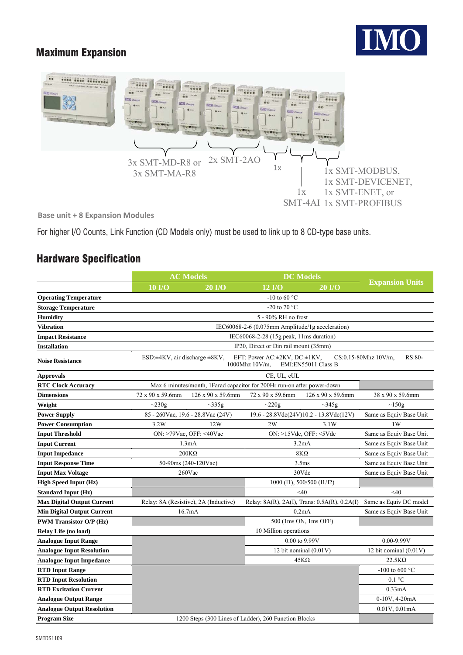## Maximum Expansion





**Base unit + 8 Expansion Modules** 

For higher I/O Counts, Link Function (CD Models only) must be used to link up to 8 CD-type base units.

### Hardware Specification

|                                   | <b>AC Models</b>                                                                                                                                    |                                      | <b>DC</b> Models                                                        |                                        |                          |  |  |  |
|-----------------------------------|-----------------------------------------------------------------------------------------------------------------------------------------------------|--------------------------------------|-------------------------------------------------------------------------|----------------------------------------|--------------------------|--|--|--|
|                                   | $10$ I/O                                                                                                                                            | $20$ I/O                             | $12$ $I/O$                                                              | $20$ I/O                               | <b>Expansion Units</b>   |  |  |  |
| <b>Operating Temperature</b>      |                                                                                                                                                     |                                      |                                                                         |                                        |                          |  |  |  |
| <b>Storage Temperature</b>        |                                                                                                                                                     |                                      |                                                                         |                                        |                          |  |  |  |
| <b>Humidity</b>                   |                                                                                                                                                     |                                      |                                                                         |                                        |                          |  |  |  |
| <b>Vibration</b>                  |                                                                                                                                                     |                                      |                                                                         |                                        |                          |  |  |  |
| <b>Impact Resistance</b>          |                                                                                                                                                     |                                      |                                                                         |                                        |                          |  |  |  |
| <b>Installation</b>               | IP20, Direct or Din rail mount (35mm)                                                                                                               |                                      |                                                                         |                                        |                          |  |  |  |
| <b>Noise Resistance</b>           | EFT: Power AC:±2KV, DC:±1KV,<br>CS:0.15-80Mhz 10V/m,<br>RS:80-<br>ESD: $\pm$ 4KV, air discharge $\pm$ 8KV,<br>1000Mhz 10V/m.<br>EMI:EN55011 Class B |                                      |                                                                         |                                        |                          |  |  |  |
| <b>Approvals</b>                  |                                                                                                                                                     |                                      |                                                                         |                                        |                          |  |  |  |
| <b>RTC Clock Accuracy</b>         |                                                                                                                                                     |                                      | Max 6 minutes/month, 1Farad capacitor for 200Hr run-on after power-down |                                        |                          |  |  |  |
| <b>Dimensions</b>                 | 72 x 90 x 59.6mm                                                                                                                                    | 126 x 90 x 59.6mm                    | 72 x 90 x 59.6mm                                                        | 126 x 90 x 59.6mm                      | 38 x 90 x 59.6mm         |  |  |  |
| Weight                            | $\sim$ 230g                                                                                                                                         | $\sim$ 335g                          | $\sim$ 220g                                                             | $\sim$ 345g                            | $\sim$ 150g              |  |  |  |
| <b>Power Supply</b>               |                                                                                                                                                     | 85 - 260 Vac, 19.6 - 28.8 Vac (24 V) |                                                                         | 19.6 - 28.8Vdc(24V)10.2 - 13.8Vdc(12V) | Same as Equiv Base Unit  |  |  |  |
| <b>Power Consumption</b>          | 3.2W                                                                                                                                                | 12W                                  | 2W                                                                      | 3.1W                                   | 1W                       |  |  |  |
| <b>Input Threshold</b>            | ON: >79Vac, OFF: <40Vac                                                                                                                             |                                      | ON: >15Vdc, OFF: <5Vdc                                                  | Same as Equiv Base Unit                |                          |  |  |  |
| <b>Input Current</b>              |                                                                                                                                                     | 1.3mA                                | 3.2mA                                                                   | Same as Equiv Base Unit                |                          |  |  |  |
| <b>Input Impedance</b>            | $200K\Omega$                                                                                                                                        |                                      | $8K\Omega$                                                              | Same as Equiv Base Unit                |                          |  |  |  |
| <b>Input Response Time</b>        |                                                                                                                                                     | 50-90ms (240-120Vac)                 | 3.5 <sub>ms</sub>                                                       | Same as Equiv Base Unit                |                          |  |  |  |
| <b>Input Max Voltage</b>          | $260$ Vac                                                                                                                                           |                                      | 30Vdc                                                                   |                                        | Same as Equiv Base Unit  |  |  |  |
| <b>High Speed Input (Hz)</b>      |                                                                                                                                                     |                                      | 1000 (I1), 500/500 (I1/I2)                                              |                                        |                          |  |  |  |
| <b>Standard Input (Hz)</b>        |                                                                                                                                                     |                                      | $<$ 40                                                                  | $<$ 40                                 |                          |  |  |  |
| <b>Max Digital Output Current</b> | Relay: 8A (Resistive), 2A (Inductive)                                                                                                               |                                      | Relay: 8A(R), 2A(I), Trans: 0.5A(R), 0.2A(I)                            | Same as Equiv DC model                 |                          |  |  |  |
| <b>Min Digital Output Current</b> | 16.7mA                                                                                                                                              |                                      | 0.2mA                                                                   | Same as Equiv Base Unit                |                          |  |  |  |
| <b>PWM Transistor O/P (Hz)</b>    | 500 (1ms ON, 1ms OFF)                                                                                                                               |                                      |                                                                         |                                        |                          |  |  |  |
| Relay Life (no load)              |                                                                                                                                                     |                                      | 10 Million operations                                                   |                                        |                          |  |  |  |
| <b>Analogue Input Range</b>       |                                                                                                                                                     |                                      | 0.00 to 9.99V                                                           |                                        | $0.00 - 9.99V$           |  |  |  |
| <b>Analogue Input Resolution</b>  |                                                                                                                                                     |                                      |                                                                         | 12 bit nominal (0.01V)                 | 12 bit nominal $(0.01V)$ |  |  |  |
| <b>Analogue Input Impedance</b>   |                                                                                                                                                     |                                      |                                                                         | $45K\Omega$                            | $22.5K\Omega$            |  |  |  |
| <b>RTD Input Range</b>            |                                                                                                                                                     |                                      |                                                                         |                                        | -100 to 600 $^{\circ}$ C |  |  |  |
| <b>RTD Input Resolution</b>       |                                                                                                                                                     |                                      |                                                                         |                                        | $0.1 \text{ }^{\circ}C$  |  |  |  |
| <b>RTD Excitation Current</b>     |                                                                                                                                                     |                                      |                                                                         |                                        | 0.33mA                   |  |  |  |
| <b>Analogue Output Range</b>      |                                                                                                                                                     |                                      |                                                                         |                                        | 0-10V, 4-20mA            |  |  |  |
| <b>Analogue Output Resolution</b> |                                                                                                                                                     |                                      |                                                                         |                                        | 0.01V, 0.01mA            |  |  |  |
| <b>Program Size</b>               | 1200 Steps (300 Lines of Ladder), 260 Function Blocks                                                                                               |                                      |                                                                         |                                        |                          |  |  |  |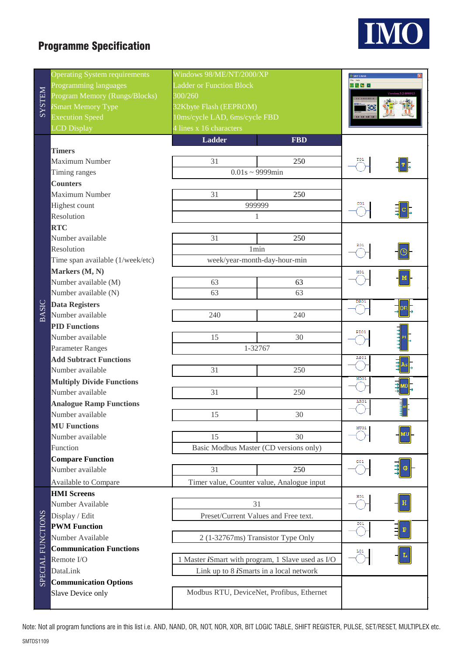# Programme Specification



|               | <b>Operating System requirements</b> | Windows 98/ME/NT/2000/XP                                  | <b>SMT</b> Client                               |      |  |  |
|---------------|--------------------------------------|-----------------------------------------------------------|-------------------------------------------------|------|--|--|
|               | Programming languages                | <b>Ladder or Function Block</b>                           | 出発のつ                                            |      |  |  |
| <b>NHLSXS</b> | Program Memory (Rungs/Blocks)        | 300/260                                                   |                                                 |      |  |  |
|               | Smart Memory Type                    | 32Kbyte Flash (EEPROM)                                    |                                                 |      |  |  |
|               | <b>Execution Speed</b>               | 10ms/cycle LAD, 6ms/cycle FBD                             | $-1 - 1 - 1$                                    |      |  |  |
|               | <b>LCD</b> Display                   | 4 lines x 16 characters                                   |                                                 |      |  |  |
|               |                                      | <b>Ladder</b>                                             | <b>FBD</b>                                      |      |  |  |
|               | <b>Timers</b>                        |                                                           |                                                 |      |  |  |
|               | Maximum Number                       | 31                                                        | 250                                             |      |  |  |
|               | Timing ranges                        | $0.01s \sim 9999$ min                                     |                                                 |      |  |  |
|               | <b>Counters</b>                      |                                                           |                                                 |      |  |  |
|               | Maximum Number                       | 31                                                        |                                                 |      |  |  |
|               | <b>Highest count</b>                 | 999999                                                    |                                                 |      |  |  |
|               | Resolution                           | 1                                                         |                                                 |      |  |  |
|               | <b>RTC</b>                           |                                                           |                                                 |      |  |  |
|               | Number available                     | 31                                                        | 250                                             |      |  |  |
|               | Resolution                           | 1 <sub>min</sub>                                          |                                                 | R01  |  |  |
|               | Time span available (1/week/etc)     | week/year-month-day-hour-min                              |                                                 |      |  |  |
|               | Markers (M, N)                       |                                                           |                                                 | M01  |  |  |
|               | Number available (M)                 | 63                                                        | 63                                              |      |  |  |
|               | Number available (N)                 | 63                                                        | 63                                              |      |  |  |
|               | <b>Data Registers</b>                |                                                           |                                                 | DR01 |  |  |
| <b>BASIC</b>  | Number available                     | 240                                                       | 240                                             |      |  |  |
|               | <b>PID Functions</b>                 |                                                           |                                                 |      |  |  |
|               | Number available                     | 15                                                        | 30                                              | PI01 |  |  |
|               | <b>Parameter Ranges</b>              | 1-32767                                                   |                                                 |      |  |  |
|               | <b>Add Subtract Functions</b>        |                                                           | AS01                                            |      |  |  |
|               | Number available                     | 31                                                        | 250                                             |      |  |  |
|               | <b>Multiply Divide Functions</b>     |                                                           |                                                 | MD01 |  |  |
|               | Number available                     | 31                                                        | 250                                             |      |  |  |
|               | <b>Analogue Ramp Functions</b>       |                                                           |                                                 | AR01 |  |  |
|               | Number available                     | 15                                                        |                                                 |      |  |  |
|               | <b>MU Functions</b>                  |                                                           | 30                                              |      |  |  |
|               | Number available                     | 15                                                        | MU01                                            |      |  |  |
|               | Function                             | Basic Modbus Master (CD versions only)                    |                                                 |      |  |  |
|               | <b>Compare Function</b>              |                                                           |                                                 |      |  |  |
|               | Number available                     | 31                                                        | 250                                             | GO1  |  |  |
|               |                                      | Timer value, Counter value, Analogue input                |                                                 |      |  |  |
|               | Available to Compare                 |                                                           |                                                 |      |  |  |
|               | <b>HMI</b> Screens                   |                                                           | H01                                             |      |  |  |
|               | Number Available                     | 31                                                        |                                                 |      |  |  |
|               | Display / Edit                       | Preset/Current Values and Free text.                      | <b>P01</b>                                      |      |  |  |
|               | <b>PWM Function</b>                  |                                                           | $\mathbf{P}$                                    |      |  |  |
| FUNCTIONS     | Number Available                     | 2 (1-32767ms) Transistor Type Only                        |                                                 |      |  |  |
|               | <b>Communication Functions</b>       |                                                           | L                                               |      |  |  |
|               | Remote I/O                           | 1 Master <i>i</i> Smart with program, 1 Slave used as I/O |                                                 |      |  |  |
| SPECIAL       | DataLink                             |                                                           | Link up to 8 <i>i</i> Smarts in a local network |      |  |  |
|               | <b>Communication Options</b>         |                                                           |                                                 |      |  |  |
|               | Slave Device only                    | Modbus RTU, DeviceNet, Profibus, Ethernet                 |                                                 |      |  |  |
|               |                                      |                                                           |                                                 |      |  |  |

Note: Not all program functions are in this list i.e. AND, NAND, OR, NOT, NOR, XOR, BIT LOGIC TABLE, SHIFT REGISTER, PULSE, SET/RESET, MULTIPLEX etc.

SMTDS1109